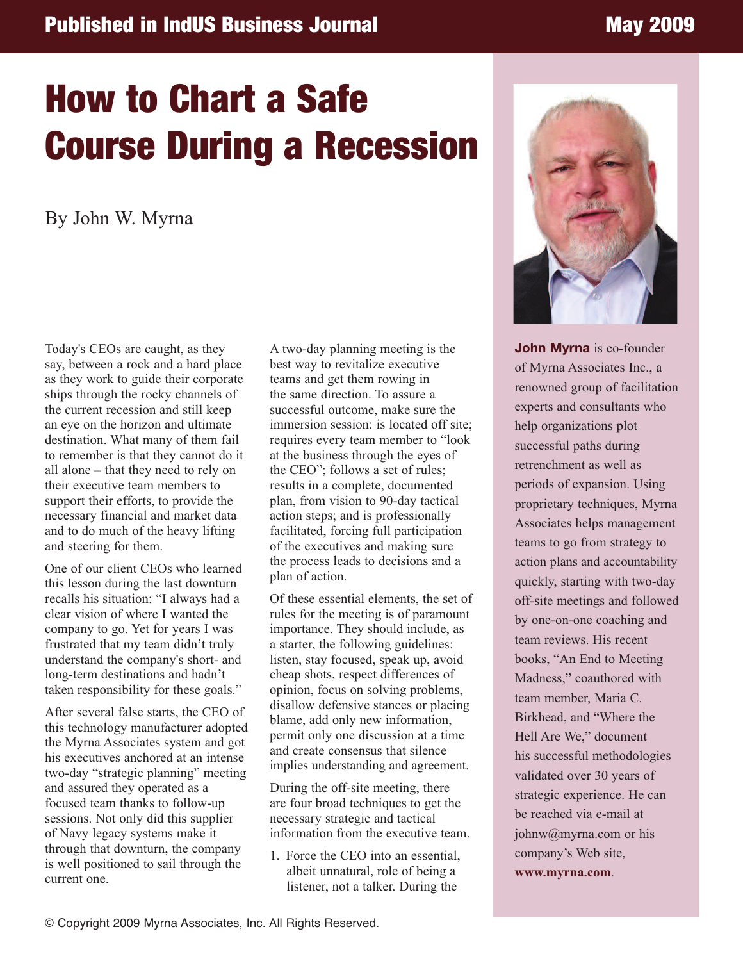## **Published in IndUS Business Journal May 2009**

## **How to Chart a Safe Course During a Recession**

By John W. Myrna

Today's CEOs are caught, as they say, between a rock and a hard place as they work to guide their corporate ships through the rocky channels of the current recession and still keep an eye on the horizon and ultimate destination. What many of them fail to remember is that they cannot do it all alone – that they need to rely on their executive team members to support their efforts, to provide the necessary financial and market data and to do much of the heavy lifting and steering for them.

One of our client CEOs who learned this lesson during the last downturn recalls his situation: "I always had a clear vision of where I wanted the company to go. Yet for years I was frustrated that my team didn't truly understand the company's short- and long-term destinations and hadn't taken responsibility for these goals."

After several false starts, the CEO of this technology manufacturer adopted the Myrna Associates system and got his executives anchored at an intense two-day "strategic planning" meeting and assured they operated as a focused team thanks to follow-up sessions. Not only did this supplier of Navy legacy systems make it through that downturn, the company is well positioned to sail through the current one.

A two-day planning meeting is the best way to revitalize executive teams and get them rowing in the same direction. To assure a successful outcome, make sure the immersion session: is located off site; requires every team member to "look at the business through the eyes of the CEO"; follows a set of rules; results in a complete, documented plan, from vision to 90-day tactical action steps; and is professionally facilitated, forcing full participation of the executives and making sure the process leads to decisions and a plan of action.

Of these essential elements, the set of rules for the meeting is of paramount importance. They should include, as a starter, the following guidelines: listen, stay focused, speak up, avoid cheap shots, respect differences of opinion, focus on solving problems, disallow defensive stances or placing blame, add only new information, permit only one discussion at a time and create consensus that silence implies understanding and agreement.

During the off-site meeting, there are four broad techniques to get the necessary strategic and tactical information from the executive team.

1. Force the CEO into an essential, albeit unnatural, role of being a listener, not a talker. During the



**John Myrna** is co-founder of Myrna Associates Inc., a renowned group of facilitation experts and consultants who help organizations plot successful paths during retrenchment as well as periods of expansion. Using proprietary techniques, Myrna Associates helps management teams to go from strategy to action plans and accountability quickly, starting with two-day off-site meetings and followed by one-on-one coaching and team reviews. His recent books, "An End to Meeting Madness," coauthored with team member, Maria C. Birkhead, and "Where the Hell Are We," document his successful methodologies validated over 30 years of strategic experience. He can be reached via e-mail at johnw@myrna.com or his company's Web site,

**www.myrna.com**.